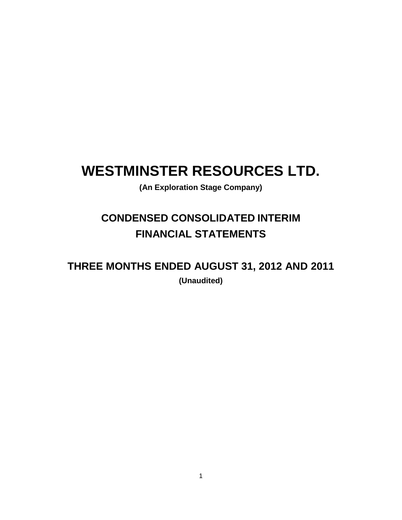# **WESTMINSTER RESOURCES LTD.**

**(An Exploration Stage Company)**

# **CONDENSED CONSOLIDATED INTERIM FINANCIAL STATEMENTS**

**THREE MONTHS ENDED AUGUST 31, 2012 AND 2011 (Unaudited)**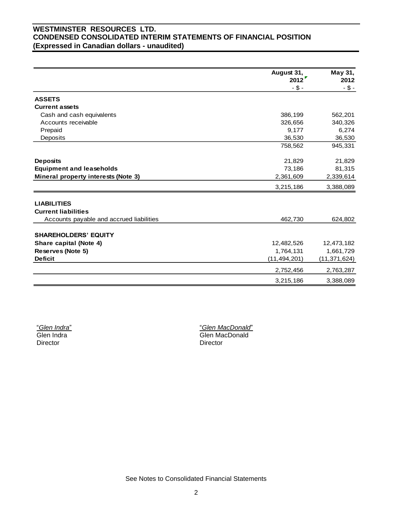# **WESTMINSTER RESOURCES LTD. CONDENSED CONSOLIDATED INTERIM STATEMENTS OF FINANCIAL POSITION (Expressed in Canadian dollars - unaudited)**

|                                          | August 31,<br>2012 | May 31,<br>2012 |
|------------------------------------------|--------------------|-----------------|
|                                          | $-$ \$ -           | $-$ \$ -        |
| <b>ASSETS</b>                            |                    |                 |
| <b>Current assets</b>                    |                    |                 |
| Cash and cash equivalents                | 386,199            | 562,201         |
| Accounts receivable                      | 326,656            | 340,326         |
| Prepaid                                  | 9,177              | 6,274           |
| Deposits                                 | 36,530             | 36,530          |
|                                          | 758,562            | 945,331         |
| <b>Deposits</b>                          | 21,829             | 21,829          |
| <b>Equipment and leaseholds</b>          | 73,186             | 81,315          |
| Mineral property interests (Note 3)      | 2,361,609          | 2,339,614       |
|                                          | 3,215,186          | 3,388,089       |
| <b>LIABILITIES</b>                       |                    |                 |
| <b>Current liabilities</b>               |                    |                 |
| Accounts payable and accrued liabilities | 462,730            | 624,802         |
|                                          |                    |                 |
| <b>SHAREHOLDERS' EQUITY</b>              |                    |                 |
| Share capital (Note 4)                   | 12,482,526         | 12,473,182      |
| Reserves (Note 5)                        | 1,764,131          | 1,661,729       |
| <b>Deficit</b>                           | (11, 494, 201)     | (11, 371, 624)  |
|                                          | 2,752,456          | 2,763,287       |
|                                          | 3,215,186          | 3,388,089       |

"*Glen Indra*" Glen Indra Director

"*Glen MacDonald*" Glen MacDonald Director

See Notes to Consolidated Financial Statements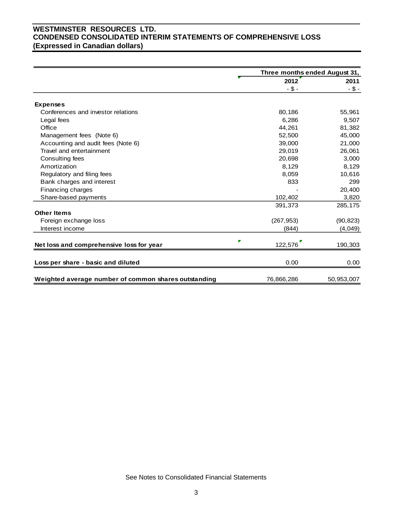# **WESTMINSTER RESOURCES LTD. CONDENSED CONSOLIDATED INTERIM STATEMENTS OF COMPREHENSIVE LOSS (Expressed in Canadian dollars)**

|                                                      |            | Three months ended August 31, |  |  |
|------------------------------------------------------|------------|-------------------------------|--|--|
|                                                      | 2012       | 2011                          |  |  |
|                                                      | -\$-       | $- $ -$                       |  |  |
|                                                      |            |                               |  |  |
| <b>Expenses</b>                                      |            |                               |  |  |
| Conferences and investor relations                   | 80,186     | 55,961                        |  |  |
| Legal fees                                           | 6,286      | 9,507                         |  |  |
| Office                                               | 44,261     | 81,382                        |  |  |
| Management fees (Note 6)                             | 52,500     | 45,000                        |  |  |
| Accounting and audit fees (Note 6)                   | 39,000     | 21,000                        |  |  |
| Travel and entertainment                             | 29,019     | 26,061                        |  |  |
| Consulting fees                                      | 20,698     | 3,000                         |  |  |
| Amortization                                         | 8,129      | 8,129                         |  |  |
| Regulatory and filing fees                           | 8,059      | 10,616                        |  |  |
| Bank charges and interest                            | 833        | 299                           |  |  |
| Financing charges                                    |            | 20,400                        |  |  |
| Share-based payments                                 | 102,402    | 3,820                         |  |  |
|                                                      | 391,373    | 285,175                       |  |  |
| <b>Other Items</b>                                   |            |                               |  |  |
| Foreign exchange loss                                | (267, 953) | (90, 823)                     |  |  |
| Interest income                                      | (844)      | (4,049)                       |  |  |
|                                                      |            |                               |  |  |
| Net loss and comprehensive loss for year             | 122,576    | 190,303                       |  |  |
|                                                      |            |                               |  |  |
| Loss per share - basic and diluted                   | 0.00       | 0.00                          |  |  |
| Weighted average number of common shares outstanding | 76,866,286 | 50,953,007                    |  |  |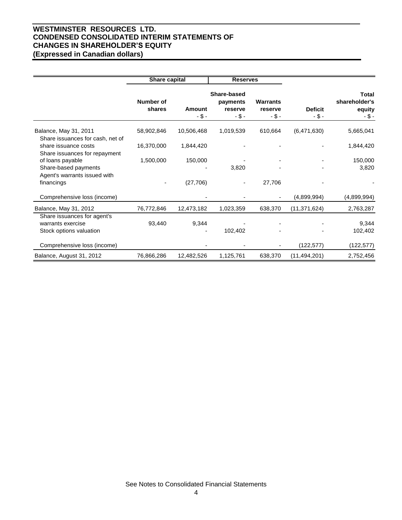# **WESTMINSTER RESOURCES LTD. CONDENSED CONSOLIDATED INTERIM STATEMENTS OF CHANGES IN SHAREHOLDER'S EQUITY (Expressed in Canadian dollars)**

|                                                                             | <b>Share capital</b>       |                           | <b>Reserves</b>                                |                                        |                            |                                            |
|-----------------------------------------------------------------------------|----------------------------|---------------------------|------------------------------------------------|----------------------------------------|----------------------------|--------------------------------------------|
|                                                                             | <b>Number of</b><br>shares | <b>Amount</b><br>$-$ \$ - | Share-based<br>payments<br>reserve<br>$-$ \$ - | <b>Warrants</b><br>reserve<br>$-$ \$ - | <b>Deficit</b><br>$-$ \$ - | Total<br>shareholder's<br>equity<br>$-5 -$ |
| Balance, May 31, 2011<br>Share issuances for cash, net of                   | 58,902,846                 | 10,506,468                | 1,019,539                                      | 610,664                                | (6,471,630)                | 5,665,041                                  |
| share issuance costs<br>Share issuances for repayment                       | 16,370,000                 | 1,844,420                 |                                                |                                        |                            | 1,844,420                                  |
| of loans payable<br>Share-based payments                                    | 1,500,000                  | 150,000                   | 3,820                                          |                                        |                            | 150,000<br>3,820                           |
| Agent's warrants issued with<br>financings                                  |                            | (27,706)                  |                                                | 27,706                                 |                            |                                            |
| Comprehensive loss (income)                                                 |                            |                           |                                                |                                        | (4,899,994)                | (4,899,994)                                |
| Balance, May 31, 2012                                                       | 76,772,846                 | 12,473,182                | 1,023,359                                      | 638,370                                | (11, 371, 624)             | 2,763,287                                  |
| Share issuances for agent's<br>warrants exercise<br>Stock options valuation | 93,440                     | 9,344                     | 102,402                                        |                                        |                            | 9,344<br>102,402                           |
| Comprehensive loss (income)                                                 |                            |                           |                                                |                                        | (122,577)                  | (122, 577)                                 |
| Balance, August 31, 2012                                                    | 76,866,286                 | 12,482,526                | 1,125,761                                      | 638,370                                | (11, 494, 201)             | 2,752,456                                  |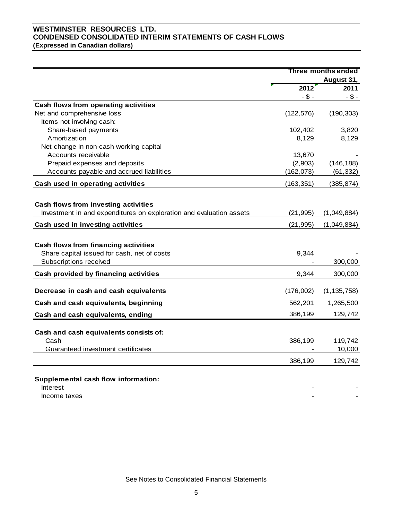# **WESTMINSTER RESOURCES LTD. CONDENSED CONSOLIDATED INTERIM STATEMENTS OF CASH FLOWS (Expressed in Canadian dollars)**

|                                                                     | <b>Three months ended</b> |               |
|---------------------------------------------------------------------|---------------------------|---------------|
|                                                                     |                           | August 31,    |
|                                                                     | 2012                      | 2011          |
|                                                                     | $- $ -$                   | $-$ \$ -      |
| Cash flows from operating activities                                |                           |               |
| Net and comprehensive loss                                          | (122, 576)                | (190, 303)    |
| Items not involving cash:                                           |                           |               |
| Share-based payments                                                | 102,402                   | 3,820         |
| Amortization                                                        | 8,129                     | 8,129         |
| Net change in non-cash working capital                              |                           |               |
| Accounts receivable                                                 | 13,670                    |               |
| Prepaid expenses and deposits                                       | (2,903)                   | (146, 188)    |
| Accounts payable and accrued liabilities                            | (162, 073)                | (61, 332)     |
| Cash used in operating activities                                   | (163, 351)                | (385, 874)    |
|                                                                     |                           |               |
| Cash flows from investing activities                                |                           |               |
| Investment in and expenditures on exploration and evaluation assets | (21, 995)                 | (1,049,884)   |
| Cash used in investing activities                                   | (21, 995)                 | (1,049,884)   |
|                                                                     |                           |               |
| Cash flows from financing activities                                |                           |               |
| Share capital issued for cash, net of costs                         | 9,344                     |               |
| Subscriptions received                                              |                           | 300,000       |
| Cash provided by financing activities                               | 9,344                     | 300,000       |
| Decrease in cash and cash equivalents                               | (176,002)                 | (1, 135, 758) |
|                                                                     |                           |               |
| Cash and cash equivalents, beginning                                | 562,201                   | 1,265,500     |
| Cash and cash equivalents, ending                                   | 386,199                   | 129,742       |
| Cash and cash equivalents consists of:                              |                           |               |
| Cash                                                                | 386,199                   | 119,742       |
| Guaranteed investment certificates                                  |                           | 10,000        |
|                                                                     |                           |               |
|                                                                     | 386,199                   | 129,742       |
|                                                                     |                           |               |
| Supplemental cash flow information:<br>Interest                     |                           |               |

Income taxes **and the set of the set of the set of the set of the set of the set of the set of the set of the set of the set of the set of the set of the set of the set of the set of the set of the set of the set of the se** 

See Notes to Consolidated Financial Statements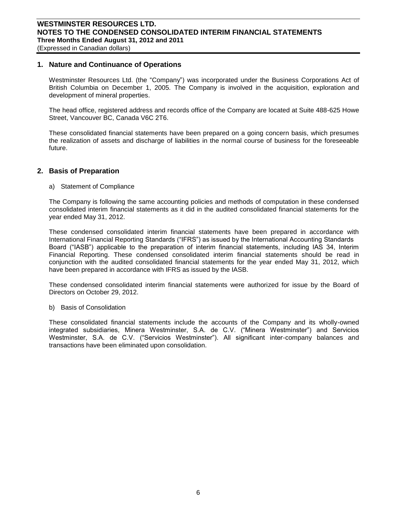#### **1. Nature and Continuance of Operations**

Westminster Resources Ltd. (the "Company") was incorporated under the Business Corporations Act of British Columbia on December 1, 2005. The Company is involved in the acquisition, exploration and development of mineral properties.

The head office, registered address and records office of the Company are located at Suite 488-625 Howe Street, Vancouver BC, Canada V6C 2T6.

These consolidated financial statements have been prepared on a going concern basis, which presumes the realization of assets and discharge of liabilities in the normal course of business for the foreseeable future.

#### **2. Basis of Preparation**

a) Statement of Compliance

The Company is following the same accounting policies and methods of computation in these condensed consolidated interim financial statements as it did in the audited consolidated financial statements for the year ended May 31, 2012.

These condensed consolidated interim financial statements have been prepared in accordance with International Financial Reporting Standards ("IFRS") as issued by the International Accounting Standards Board ("IASB") applicable to the preparation of interim financial statements, including IAS 34, Interim Financial Reporting. These condensed consolidated interim financial statements should be read in conjunction with the audited consolidated financial statements for the year ended May 31, 2012, which have been prepared in accordance with IFRS as issued by the IASB.

These condensed consolidated interim financial statements were authorized for issue by the Board of Directors on October 29, 2012.

b) Basis of Consolidation

These consolidated financial statements include the accounts of the Company and its wholly-owned integrated subsidiaries, Minera Westminster, S.A. de C.V. ("Minera Westminster") and Servicios Westminster, S.A. de C.V. ("Servicios Westminster"). All significant inter-company balances and transactions have been eliminated upon consolidation.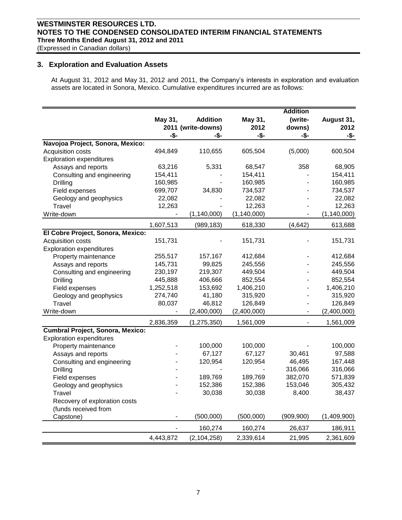# **WESTMINSTER RESOURCES LTD. NOTES TO THE CONDENSED CONSOLIDATED INTERIM FINANCIAL STATEMENTS Three Months Ended August 31, 2012 and 2011**

(Expressed in Canadian dollars)

#### **3. Exploration and Evaluation Assets**

At August 31, 2012 and May 31, 2012 and 2011, the Company's interests in exploration and evaluation assets are located in Sonora, Mexico. Cumulative expenditures incurred are as follows:

|                                         |           |                    |               | <b>Addition</b> |               |
|-----------------------------------------|-----------|--------------------|---------------|-----------------|---------------|
|                                         | May 31,   | <b>Addition</b>    | May 31,       | (write-         | August 31,    |
|                                         |           | 2011 (write-downs) | 2012          | downs)          | 2012          |
|                                         | -\$-      | -\$-               | -\$-          | -\$-            | -\$-          |
| Navojoa Project, Sonora, Mexico:        |           |                    |               |                 |               |
| Acquisition costs                       | 494,849   | 110,655            | 605,504       | (5,000)         | 600,504       |
| <b>Exploration expenditures</b>         |           |                    |               |                 |               |
| Assays and reports                      | 63,216    | 5,331              | 68,547        | 358             | 68,905        |
| Consulting and engineering              | 154,411   |                    | 154,411       |                 | 154,411       |
| <b>Drilling</b>                         | 160,985   |                    | 160,985       |                 | 160,985       |
| Field expenses                          | 699,707   | 34,830             | 734,537       |                 | 734,537       |
| Geology and geophysics                  | 22,082    |                    | 22,082        |                 | 22,082        |
| Travel                                  | 12,263    |                    | 12,263        |                 | 12,263        |
| Write-down                              |           | (1, 140, 000)      | (1, 140, 000) |                 | (1, 140, 000) |
|                                         | 1,607,513 | (989, 183)         | 618,330       | (4, 642)        | 613,688       |
| El Cobre Project, Sonora, Mexico:       |           |                    |               |                 |               |
| Acquisition costs                       | 151,731   |                    | 151,731       |                 | 151,731       |
| <b>Exploration expenditures</b>         |           |                    |               |                 |               |
| Property maintenance                    | 255,517   | 157,167            | 412,684       |                 | 412,684       |
| Assays and reports                      | 145,731   | 99,825             | 245,556       |                 | 245,556       |
| Consulting and engineering              | 230,197   | 219,307            | 449,504       |                 | 449,504       |
| Drilling                                | 445,888   | 406,666            | 852,554       |                 | 852,554       |
| Field expenses                          | 1,252,518 | 153,692            | 1,406,210     | $\overline{a}$  | 1,406,210     |
| Geology and geophysics                  | 274,740   | 41,180             | 315,920       | $\overline{a}$  | 315,920       |
| Travel                                  | 80,037    | 46,812             | 126,849       | $\blacksquare$  | 126,849       |
| Write-down                              |           | (2,400,000)        | (2,400,000)   | $\frac{1}{2}$   | (2,400,000)   |
|                                         | 2,836,359 | (1, 275, 350)      | 1,561,009     |                 | 1,561,009     |
| <b>Cumbral Project, Sonora, Mexico:</b> |           |                    |               |                 |               |
| <b>Exploration expenditures</b>         |           |                    |               |                 |               |
| Property maintenance                    |           | 100,000            | 100,000       |                 | 100,000       |
| Assays and reports                      |           | 67,127             | 67,127        | 30,461          | 97,588        |
| Consulting and engineering              |           | 120,954            | 120,954       | 46,495          | 167,448       |
| Drilling                                |           |                    |               | 316,066         | 316,066       |
| Field expenses                          |           | 189,769            | 189,769       | 382,070         | 571,839       |
| Geology and geophysics                  |           | 152,386            | 152,386       | 153,046         | 305,432       |
| Travel                                  |           | 30,038             | 30,038        | 8,400           | 38,437        |
| Recovery of exploration costs           |           |                    |               |                 |               |
| (funds received from                    |           |                    |               |                 |               |
| Capstone)                               |           | (500,000)          | (500,000)     | (909, 900)      | (1,409,900)   |
|                                         |           | 160,274            | 160,274       | 26,637          | 186,911       |
|                                         | 4,443,872 | (2, 104, 258)      | 2,339,614     | 21,995          | 2,361,609     |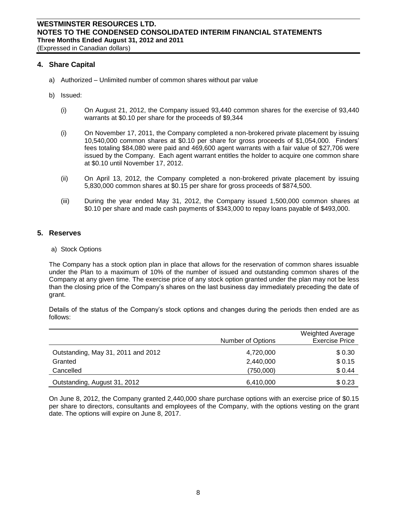(Expressed in Canadian dollars)

#### **4. Share Capital**

- a) Authorized Unlimited number of common shares without par value
- b) Issued:
	- (i) On August 21, 2012, the Company issued 93,440 common shares for the exercise of 93,440 warrants at \$0.10 per share for the proceeds of \$9,344
	- (i) On November 17, 2011, the Company completed a non-brokered private placement by issuing 10,540,000 common shares at \$0.10 per share for gross proceeds of \$1,054,000. Finders' fees totaling \$84,080 were paid and 469,600 agent warrants with a fair value of \$27,706 were issued by the Company. Each agent warrant entitles the holder to acquire one common share at \$0.10 until November 17, 2012.
	- (ii) On April 13, 2012, the Company completed a non-brokered private placement by issuing 5,830,000 common shares at \$0.15 per share for gross proceeds of \$874,500.
	- (iii) During the year ended May 31, 2012, the Company issued 1,500,000 common shares at \$0.10 per share and made cash payments of \$343,000 to repay loans payable of \$493,000.

#### **5. Reserves**

a) Stock Options

The Company has a stock option plan in place that allows for the reservation of common shares issuable under the Plan to a maximum of 10% of the number of issued and outstanding common shares of the Company at any given time. The exercise price of any stock option granted under the plan may not be less than the closing price of the Company's shares on the last business day immediately preceding the date of grant.

Details of the status of the Company's stock options and changes during the periods then ended are as follows:

|                                    | Number of Options | <b>Weighted Average</b><br><b>Exercise Price</b> |
|------------------------------------|-------------------|--------------------------------------------------|
| Outstanding, May 31, 2011 and 2012 | 4,720,000         | \$0.30                                           |
| Granted                            | 2,440,000         | \$0.15                                           |
| Cancelled                          | (750,000)         | \$0.44                                           |
| Outstanding, August 31, 2012       | 6,410,000         | \$0.23                                           |

On June 8, 2012, the Company granted 2,440,000 share purchase options with an exercise price of \$0.15 per share to directors, consultants and employees of the Company, with the options vesting on the grant date. The options will expire on June 8, 2017.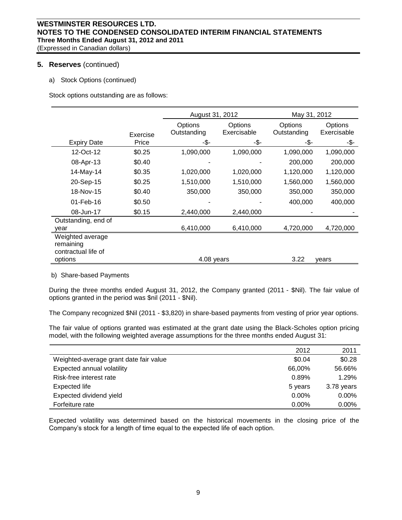### **5. Reserves** (continued)

a) Stock Options (continued)

Stock options outstanding are as follows:

|                               |          | August 31, 2012        |                        | May 31, 2012           |                        |
|-------------------------------|----------|------------------------|------------------------|------------------------|------------------------|
|                               | Exercise | Options<br>Outstanding | Options<br>Exercisable | Options<br>Outstanding | Options<br>Exercisable |
| <b>Expiry Date</b>            | Price    | -\$-                   | -\$-                   | -\$-                   | -\$-                   |
| 12-Oct-12                     | \$0.25   | 1,090,000              | 1,090,000              | 1,090,000              | 1,090,000              |
| 08-Apr-13                     | \$0.40   |                        |                        | 200,000                | 200,000                |
| 14-May-14                     | \$0.35   | 1,020,000              | 1,020,000              | 1,120,000              | 1,120,000              |
| 20-Sep-15                     | \$0.25   | 1,510,000              | 1,510,000              | 1,560,000              | 1,560,000              |
| 18-Nov-15                     | \$0.40   | 350,000                | 350,000                | 350,000                | 350,000                |
| 01-Feb-16                     | \$0.50   |                        |                        | 400,000                | 400,000                |
| 08-Jun-17                     | \$0.15   | 2,440,000              | 2,440,000              |                        |                        |
| Outstanding, end of           |          |                        |                        |                        |                        |
| year                          |          | 6,410,000              | 6,410,000              | 4,720,000              | 4,720,000              |
| Weighted average<br>remaining |          |                        |                        |                        |                        |
| contractual life of           |          |                        |                        |                        |                        |
| options                       |          | 4.08 years             |                        | 3.22                   | vears                  |

b) Share-based Payments

During the three months ended August 31, 2012, the Company granted (2011 - \$Nil). The fair value of options granted in the period was \$nil (2011 - \$Nil).

The Company recognized \$Nil (2011 - \$3,820) in share-based payments from vesting of prior year options.

The fair value of options granted was estimated at the grant date using the Black-Scholes option pricing model, with the following weighted average assumptions for the three months ended August 31:

|                                        | 2012     | 2011       |
|----------------------------------------|----------|------------|
| Weighted-average grant date fair value | \$0.04   | \$0.28     |
| Expected annual volatility             | 66,00%   | 56.66%     |
| Risk-free interest rate                | 0.89%    | 1.29%      |
| Expected life                          | 5 years  | 3.78 years |
| Expected dividend yield                | 0.00%    | $0.00\%$   |
| Forfeiture rate                        | $0.00\%$ | $0.00\%$   |

Expected volatility was determined based on the historical movements in the closing price of the Company's stock for a length of time equal to the expected life of each option.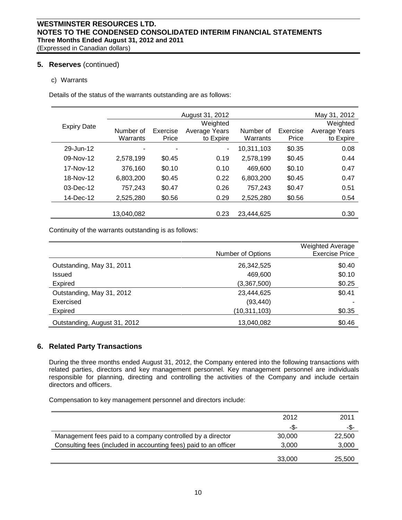#### **5. Reserves** (continued)

#### c) Warrants

Details of the status of the warrants outstanding are as follows:

|                    |            |          | August 31, 2012 |            |          | May 31, 2012  |
|--------------------|------------|----------|-----------------|------------|----------|---------------|
|                    |            |          | Weighted        |            |          | Weighted      |
| <b>Expiry Date</b> | Number of  | Exercise | Average Years   | Number of  | Exercise | Average Years |
|                    | Warrants   | Price    | to Expire       | Warrants   | Price    | to Expire     |
| 29-Jun-12          |            | ٠        | ٠               | 10,311,103 | \$0.35   | 0.08          |
| $09-Nov-12$        | 2,578,199  | \$0.45   | 0.19            | 2,578,199  | \$0.45   | 0.44          |
| 17-Nov-12          | 376,160    | \$0.10   | 0.10            | 469,600    | \$0.10   | 0.47          |
| 18-Nov-12          | 6,803,200  | \$0.45   | 0.22            | 6,803,200  | \$0.45   | 0.47          |
| $03$ -Dec-12       | 757,243    | \$0.47   | 0.26            | 757,243    | \$0.47   | 0.51          |
| 14-Dec-12          | 2,525,280  | \$0.56   | 0.29            | 2,525,280  | \$0.56   | 0.54          |
|                    |            |          |                 |            |          |               |
|                    | 13,040,082 |          | 0.23            | 23,444,625 |          | 0.30          |

Continuity of the warrants outstanding is as follows:

|                              | Number of Options | <b>Weighted Average</b><br><b>Exercise Price</b> |
|------------------------------|-------------------|--------------------------------------------------|
| Outstanding, May 31, 2011    | 26,342,525        | \$0.40                                           |
| <b>Issued</b>                | 469,600           | \$0.10                                           |
| Expired                      | (3,367,500)       | \$0.25                                           |
| Outstanding, May 31, 2012    | 23,444,625        | \$0.41                                           |
| Exercised                    | (93, 440)         |                                                  |
| <b>Expired</b>               | (10,311,103)      | \$0.35                                           |
| Outstanding, August 31, 2012 | 13,040,082        | \$0.46                                           |

# **6. Related Party Transactions**

During the three months ended August 31, 2012, the Company entered into the following transactions with related parties, directors and key management personnel. Key management personnel are individuals responsible for planning, directing and controlling the activities of the Company and include certain directors and officers.

Compensation to key management personnel and directors include:

|                                                                  | 2012   | 2011   |
|------------------------------------------------------------------|--------|--------|
|                                                                  | -\$-   | -\$-   |
| Management fees paid to a company controlled by a director       | 30,000 | 22,500 |
| Consulting fees (included in accounting fees) paid to an officer | 3,000  | 3,000  |
|                                                                  | 33,000 | 25,500 |